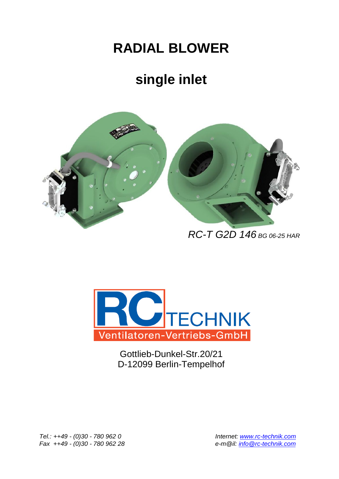## **RADIAL BLOWER**

## **single inlet**



 *RC-T G2D 146 BG 06-25 HAR*



Gottlieb-Dunkel-Str.20/21 D-12099 Berlin-Tempelhof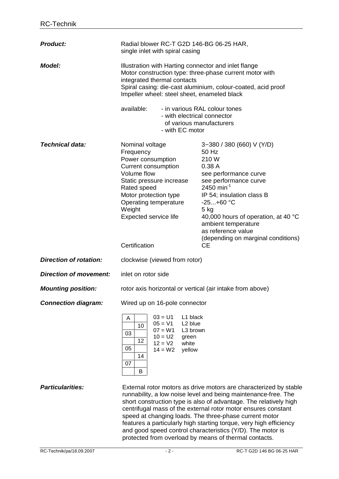| <b>Product:</b>               | Radial blower RC-T G2D 146-BG 06-25 HAR,<br>single inlet with spiral casing                                                                                                                                                                                                                                                                                                                                                                                             |                                                                                                                                                                                                                                                                                                                              |
|-------------------------------|-------------------------------------------------------------------------------------------------------------------------------------------------------------------------------------------------------------------------------------------------------------------------------------------------------------------------------------------------------------------------------------------------------------------------------------------------------------------------|------------------------------------------------------------------------------------------------------------------------------------------------------------------------------------------------------------------------------------------------------------------------------------------------------------------------------|
| <b>Model:</b>                 | Illustration with Harting connector and inlet flange<br>Motor construction type: three-phase current motor with<br>integrated thermal contacts<br>Spiral casing: die-cast aluminium, colour-coated, acid proof<br>Impeller wheel: steel sheet, enameled black                                                                                                                                                                                                           |                                                                                                                                                                                                                                                                                                                              |
|                               | available:<br>- in various RAL colour tones<br>- with electrical connector<br>of various manufacturers<br>- with EC motor                                                                                                                                                                                                                                                                                                                                               |                                                                                                                                                                                                                                                                                                                              |
| <b>Technical data:</b>        | Nominal voltage<br>Frequency<br>Power consumption<br><b>Current consumption</b><br><b>Volume flow</b><br>Static pressure increase<br>Rated speed<br>Motor protection type<br>Operating temperature<br>Weight<br>Expected service life<br>Certification                                                                                                                                                                                                                  | 3~380 / 380 (660) V (Y/D)<br>50 Hz<br>210W<br>0.38A<br>see performance curve<br>see performance curve<br>2450 min <sup>-1</sup><br>IP 54; insulation class B<br>$-25+60 °C$<br>$5$ kg<br>40,000 hours of operation, at 40 °C<br>ambient temperature<br>as reference value<br>(depending on marginal conditions)<br><b>CE</b> |
| <b>Direction of rotation:</b> | clockwise (viewed from rotor)                                                                                                                                                                                                                                                                                                                                                                                                                                           |                                                                                                                                                                                                                                                                                                                              |
| <b>Direction of movement:</b> | inlet on rotor side                                                                                                                                                                                                                                                                                                                                                                                                                                                     |                                                                                                                                                                                                                                                                                                                              |
| <b>Mounting position:</b>     | rotor axis horizontal or vertical (air intake from above)                                                                                                                                                                                                                                                                                                                                                                                                               |                                                                                                                                                                                                                                                                                                                              |
| <b>Connection diagram:</b>    | Wired up on 16-pole connector                                                                                                                                                                                                                                                                                                                                                                                                                                           |                                                                                                                                                                                                                                                                                                                              |
|                               | $03 = U1$<br>L1 black<br>A<br>$05 = V1$<br>L <sub>2</sub> blue<br>10<br>$07 = W1$<br>L3 brown<br>03<br>$10 = U2$<br>green<br>12<br>$12 = V2$<br>white<br>05<br>$14 = W2$<br>yellow<br>14<br>07<br>B                                                                                                                                                                                                                                                                     |                                                                                                                                                                                                                                                                                                                              |
| <b>Particularities:</b>       | External rotor motors as drive motors are characterized by stable<br>runnability, a low noise level and being maintenance-free. The<br>short construction type is also of advantage. The relatively high<br>centrifugal mass of the external rotor motor ensures constant<br>speed at changing loads. The three-phase current motor<br>features a particularly high starting torque, very high efficiency<br>and good speed control characteristics (Y/D). The motor is |                                                                                                                                                                                                                                                                                                                              |

protected from overload by means of thermal contacts.